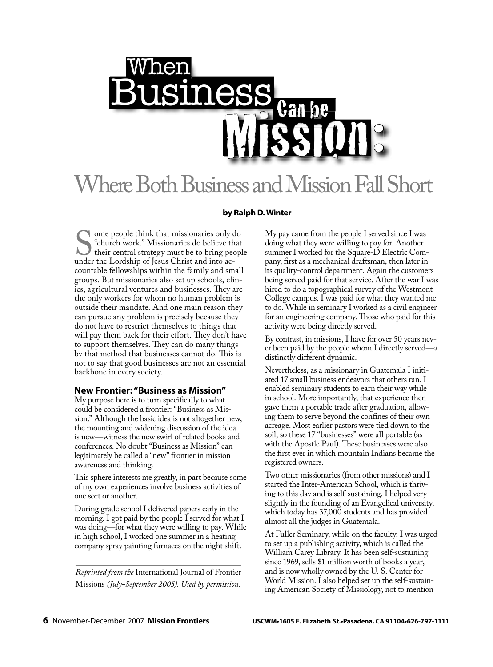# here Both Business and Mission Fall Short When **PSS**<br>MISSION: Business Can be

#### **by Ralph D. Winter**

Some people think that missionaries only do<br>
"church work." Missionaries do believe that<br>
their central strategy must be to bring peoply<br>
under the Lordship of Jesus Christ and into ac-"church work." Missionaries do believe that their central strategy must be to bring people under the Lordship of Jesus Christ and into accountable fellowships within the family and small groups. But missionaries also set up schools, clinics, agricultural ventures and businesses. They are the only workers for whom no human problem is outside their mandate. And one main reason they can pursue any problem is precisely because they do not have to restrict themselves to things that will pay them back for their effort. They don't have to support themselves. They can do many things by that method that businesses cannot do. This is not to say that good businesses are not an essential backbone in every society.

#### **New Frontier: "Business as Mission"**

My purpose here is to turn specifically to what could be considered a frontier: "Business as Mission." Although the basic idea is not altogether new, the mounting and widening discussion of the idea is new—witness the new swirl of related books and conferences. No doubt "Business as Mission" can legitimately be called a "new" frontier in mission awareness and thinking.

This sphere interests me greatly, in part because some of my own experiences involve business activities of one sort or another.

During grade school I delivered papers early in the morning. I got paid by the people I served for what I was doing—for what they were willing to pay. While in high school, I worked one summer in a heating company spray painting furnaces on the night shift.

*Reprinted from the* International Journal of Frontier Missions *(July-September 2005). Used by permission.*

My pay came from the people I served since I was doing what they were willing to pay for. Another summer I worked for the Square-D Electric Company, first as a mechanical draftsman, then later in its quality-control department. Again the customers being served paid for that service. After the war I was hired to do a topographical survey of the Westmont College campus. I was paid for what they wanted me to do. While in seminary I worked as a civil engineer for an engineering company. Those who paid for this activity were being directly served.

By contrast, in missions, I have for over 50 years never been paid by the people whom I directly served—a distinctly different dynamic.

Nevertheless, as a missionary in Guatemala I initiated 17 small business endeavors that others ran. I enabled seminary students to earn their way while in school. More importantly, that experience then gave them a portable trade after graduation, allowing them to serve beyond the confines of their own acreage. Most earlier pastors were tied down to the soil, so these 17 "businesses" were all portable (as with the Apostle Paul). These businesses were also the first ever in which mountain Indians became the registered owners.

Two other missionaries (from other missions) and I started the Inter-American School, which is thriving to this day and is self-sustaining. I helped very slightly in the founding of an Evangelical university, which today has 37,000 students and has provided almost all the judges in Guatemala.

At Fuller Seminary, while on the faculty, I was urged to set up a publishing activity, which is called the William Carey Library. It has been self-sustaining since 1969, sells \$1 million worth of books a year, and is now wholly owned by the U. S. Center for World Mission. I also helped set up the self-sustaining American Society of Missiology, not to mention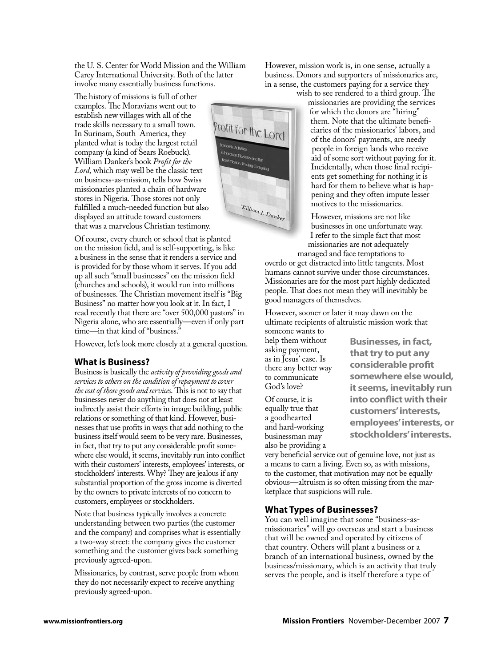the U. S. Center for World Mission and the William Carey International University. Both of the latter involve many essentially business functions.

The history of missions is full of other examples. The Moravians went out to establish new villages with all of the trade skills necessary to a small town. In Surinam, South America, they planted what is today the largest retail company (a kind of Sears Roebuck). William Danker's book Profit for the *Lord,* which may well be the classic text on business-as-mission, tells how Swiss missionaries planted a chain of hardware stores in Nigeria. Those stores not only fulfilled a much-needed function but also displayed an attitude toward customers that was a marvelous Christian testimony.

Of course, every church or school that is planted on the mission field, and is self-supporting, is like a business in the sense that it renders a service and is provided for by those whom it serves. If you add up all such "small businesses" on the mission field (churches and schools), it would run into millions of businesses. The Christian movement itself is "Big" Business" no matter how you look at it. In fact, I read recently that there are "over 500,000 pastors" in Nigeria alone, who are essentially—even if only part time—in that kind of "business."

However, let's look more closely at a general question.

#### **What is Business?**

Business is basically the *activity of providing goods and services to others on the condition of repayment to cover the cost of those goods and services*. This is not to say that businesses never do anything that does not at least indirectly assist their efforts in image building, public relations or something of that kind. However, businesses that use profits in ways that add nothing to the business itself would seem to be very rare. Businesses, in fact, that try to put any considerable profit somewhere else would, it seems, inevitably run into conflict with their customers' interests, employees' interests, or stockholders' interests. Why? They are jealous if any substantial proportion of the gross income is diverted by the owners to private interests of no concern to customers, employees or stockholders.

Note that business typically involves a concrete understanding between two parties (the customer and the company) and comprises what is essentially a two-way street: the company gives the customer something and the customer gives back something previously agreed-upon.

Missionaries, by contrast, serve people from whom they do not necessarily expect to receive anything previously agreed-upon.

However, mission work is, in one sense, actually a business. Donors and supporters of missionaries are, in a sense, the customers paying for a service they

wish to see rendered to a third group. The missionaries are providing the services for which the donors are "hiring" them. Note that the ultimate beneficiaries of the missionaries' labors, and of the donors' payments, are needy people in foreign lands who receive aid of some sort without paying for it. Incidentally, when those final recipients get something for nothing it is hard for them to believe what is happening and they often impute lesser motives to the missionaries.

However, missions are not like businesses in one unfortunate way. I refer to the simple fact that most missionaries are not adequately managed and face temptations to

overdo or get distracted into little tangents. Most humans cannot survive under those circumstances. Missionaries are for the most part highly dedicated people. That does not mean they will inevitably be good managers of themselves.

However, sooner or later it may dawn on the ultimate recipients of altruistic mission work that someone wants to

help them without asking payment, as in Jesus' case. Is there any better way to communicate God's love?

Of course, it is equally true that a goodhearted and hard-working businessman may also be providing a **Businesses, in fact, that try to put any considerable profit somewhere else would, it seems, inevitably run into conflict with their customers' interests, employees' interests, or stockholders' interests.**

very beneficial service out of genuine love, not just as a means to earn a living. Even so, as with missions, to the customer, that motivation may not be equally obvious—altruism is so often missing from the marketplace that suspicions will rule.

## **What Types of Businesses?**

You can well imagine that some "business-asmissionaries" will go overseas and start a business that will be owned and operated by citizens of that country. Others will plant a business or a branch of an international business, owned by the business/missionary, which is an activity that truly serves the people, and is itself therefore a type of

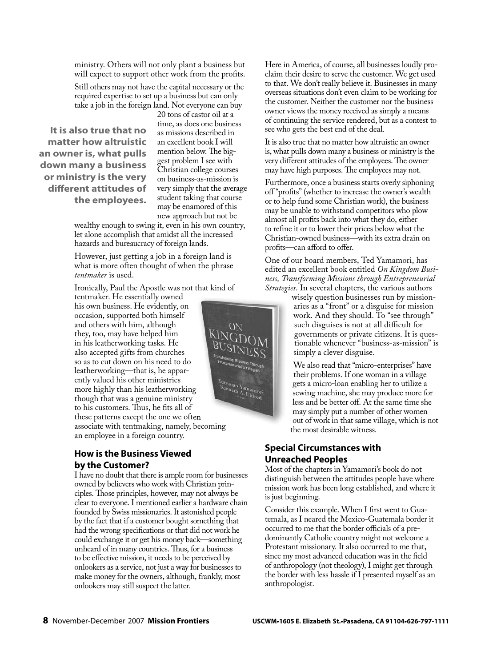ministry. Others will not only plant a business but will expect to support other work from the profits.

Still others may not have the capital necessary or the required expertise to set up a business but can only take a job in the foreign land. Not everyone can buy

**It is also true that no matter how altruistic an owner is, what pulls down many a business or ministry is the very diff erent attitudes of the employees.** 20 tons of castor oil at a time, as does one business as missions described in an excellent book I will mention below. The biggest problem I see with Christian college courses on business-as-mission is very simply that the average student taking that course may be enamored of this new approach but not be

wealthy enough to swing it, even in his own country, let alone accomplish that amidst all the increased hazards and bureaucracy of foreign lands.

However, just getting a job in a foreign land is what is more often thought of when the phrase *tentmaker* is used.

Ironically, Paul the Apostle was not that kind of

tentmaker. He essentially owned his own business. He evidently, on occasion, supported both himself and others with him, although they, too, may have helped him in his leatherworking tasks. He also accepted gifts from churches so as to cut down on his need to do leatherworking—that is, he apparently valued his other ministries more highly than his leatherworking though that was a genuine ministry to his customers. Thus, he fits all of these patterns except the one we often associate with tentmaking, namely, becoming an employee in a foreign country.

# **How is the Business Viewed by the Customer?**

I have no doubt that there is ample room for businesses owned by believers who work with Christian principles. Those principles, however, may not always be clear to everyone. I mentioned earlier a hardware chain founded by Swiss missionaries. It astonished people by the fact that if a customer bought something that had the wrong specifications or that did not work he could exchange it or get his money back—something unheard of in many countries. Thus, for a business to be effective mission, it needs to be perceived by onlookers as a service, not just a way for businesses to make money for the owners, although, frankly, most onlookers may still suspect the latter.

Here in America, of course, all businesses loudly proclaim their desire to serve the customer. We get used to that. We don't really believe it. Businesses in many overseas situations don't even claim to be working for the customer. Neither the customer nor the business owner views the money received as simply a means of continuing the service rendered, but as a contest to see who gets the best end of the deal.

It is also true that no matter how altruistic an owner is, what pulls down many a business or ministry is the very different attitudes of the employees. The owner may have high purposes. The employees may not.

Furthermore, once a business starts overly siphoning off "profits" (whether to increase the owner's wealth or to help fund some Christian work), the business may be unable to withstand competitors who plow almost all profits back into what they do, either to refine it or to lower their prices below what the Christian-owned business—with its extra drain on profits—can afford to offer.

One of our board members, Ted Yamamori, has edited an excellent book entitled *On Kingdom Business, Transforming Missions through Entrepreneurial Strategies*. In several chapters, the various authors

wisely question businesses run by missionaries as a "front" or a disguise for mission work. And they should. To "see through" such disguises is not at all difficult for governments or private citizens. It is questionable whenever "business-as-mission" is simply a clever disguise.

We also read that "micro-enterprises" have their problems. If one woman in a village gets a micro-loan enabling her to utilize a sewing machine, she may produce more for less and be better off. At the same time she may simply put a number of other women out of work in that same village, which is not the most desirable witness.

# **Special Circumstances with Unreached Peoples**

Most of the chapters in Yamamori's book do not distinguish between the attitudes people have where mission work has been long established, and where it is just beginning.

Consider this example. When I first went to Guatemala, as I neared the Mexico-Guatemala border it occurred to me that the border officials of a predominantly Catholic country might not welcome a Protestant missionary. It also occurred to me that, since my most advanced education was in the field of anthropology (not theology), I might get through the border with less hassle if I presented myself as an anthropologist.

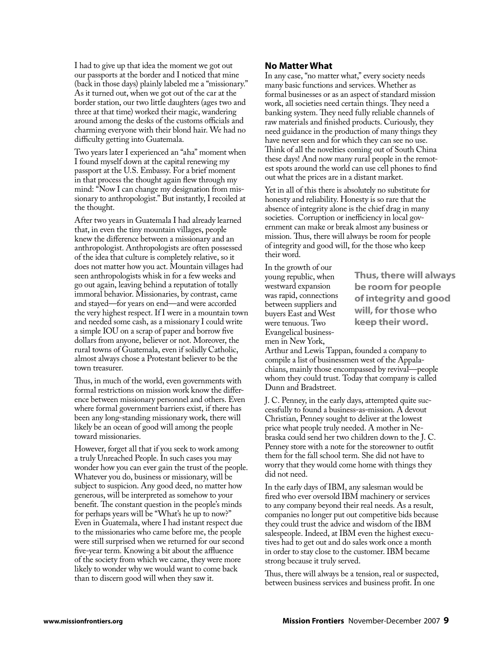I had to give up that idea the moment we got out our passports at the border and I noticed that mine (back in those days) plainly labeled me a "missionary." As it turned out, when we got out of the car at the border station, our two little daughters (ages two and three at that time) worked their magic, wandering around among the desks of the customs officials and charming everyone with their blond hair. We had no difficulty getting into Guatemala.

Two years later I experienced an "aha" moment when I found myself down at the capital renewing my passport at the U.S. Embassy. For a brief moment in that process the thought again flew through my mind: "Now I can change my designation from missionary to anthropologist." But instantly, I recoiled at the thought.

After two years in Guatemala I had already learned that, in even the tiny mountain villages, people knew the difference between a missionary and an anthropologist. Anthropologists are often possessed of the idea that culture is completely relative, so it does not matter how you act. Mountain villages had seen anthropologists whisk in for a few weeks and go out again, leaving behind a reputation of totally immoral behavior. Missionaries, by contrast, came and stayed—for years on end—and were accorded the very highest respect. If I were in a mountain town and needed some cash, as a missionary I could write a simple IOU on a scrap of paper and borrow five dollars from anyone, believer or not. Moreover, the rural towns of Guatemala, even if solidly Catholic, almost always chose a Protestant believer to be the town treasurer.

Thus, in much of the world, even governments with formal restrictions on mission work know the difference between missionary personnel and others. Even where formal government barriers exist, if there has been any long-standing missionary work, there will likely be an ocean of good will among the people toward missionaries.

However, forget all that if you seek to work among a truly Unreached People. In such cases you may wonder how you can ever gain the trust of the people. Whatever you do, business or missionary, will be subject to suspicion. Any good deed, no matter how generous, will be interpreted as somehow to your benefit. The constant question in the people's minds for perhaps years will be "What's he up to now?" Even in Guatemala, where I had instant respect due to the missionaries who came before me, the people were still surprised when we returned for our second five-year term. Knowing a bit about the affluence of the society from which we came, they were more likely to wonder why we would want to come back than to discern good will when they saw it.

### **No Matter What**

In any case, "no matter what," every society needs many basic functions and services. Whether as formal businesses or as an aspect of standard mission work, all societies need certain things. They need a banking system. They need fully reliable channels of raw materials and finished products. Curiously, they need guidance in the production of many things they have never seen and for which they can see no use. Think of all the novelties coming out of South China these days! And now many rural people in the remotest spots around the world can use cell phones to find out what the prices are in a distant market.

Yet in all of this there is absolutely no substitute for honesty and reliability. Honesty is so rare that the absence of integrity alone is the chief drag in many societies. Corruption or inefficiency in local government can make or break almost any business or mission. Thus, there will always be room for people of integrity and good will, for the those who keep their word.

In the growth of our young republic, when westward expansion was rapid, connections between suppliers and buyers East and West were tenuous. Two Evangelical businessmen in New York,

**Thus, there will always be room for people of integrity and good will, for those who keep their word.**

Arthur and Lewis Tappan, founded a company to compile a list of businessmen west of the Appalachians, mainly those encompassed by revival—people whom they could trust. Today that company is called Dunn and Bradstreet.

J. C. Penney, in the early days, attempted quite successfully to found a business-as-mission. A devout Christian, Penney sought to deliver at the lowest price what people truly needed. A mother in Nebraska could send her two children down to the J. C. Penney store with a note for the storeowner to outfit them for the fall school term. She did not have to worry that they would come home with things they did not need.

In the early days of IBM, any salesman would be fired who ever oversold IBM machinery or services to any company beyond their real needs. As a result, companies no longer put out competitive bids because they could trust the advice and wisdom of the IBM salespeople. Indeed, at IBM even the highest executives had to get out and do sales work once a month in order to stay close to the customer. IBM became strong because it truly served.

Thus, there will always be a tension, real or suspected, between business services and business profit. In one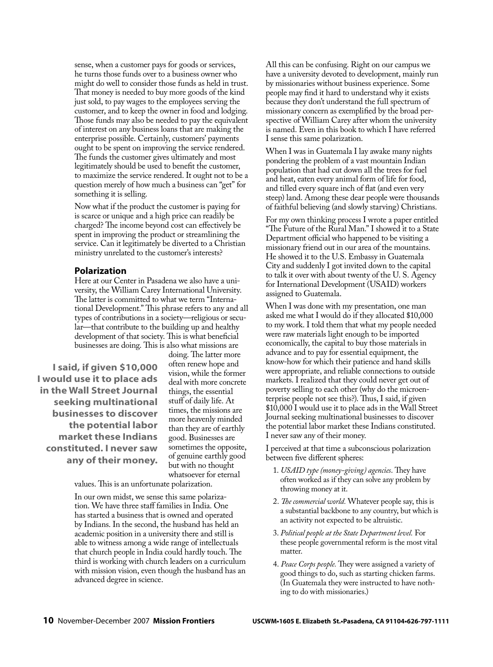sense, when a customer pays for goods or services, he turns those funds over to a business owner who might do well to consider those funds as held in trust. That money is needed to buy more goods of the kind just sold, to pay wages to the employees serving the customer, and to keep the owner in food and lodging. Those funds may also be needed to pay the equivalent of interest on any business loans that are making the enterprise possible. Certainly, customers' payments ought to be spent on improving the service rendered. The funds the customer gives ultimately and most legitimately should be used to benefit the customer, to maximize the service rendered. It ought not to be a question merely of how much a business can "get" for something it is selling.

Now what if the product the customer is paying for is scarce or unique and a high price can readily be charged? The income beyond cost can effectively be spent in improving the product or streamlining the service. Can it legitimately be diverted to a Christian ministry unrelated to the customer's interests?

#### **Polarization**

Here at our Center in Pasadena we also have a university, the William Carey International University. The latter is committed to what we term "International Development." This phrase refers to any and all types of contributions in a society—religious or secular—that contribute to the building up and healthy development of that society. This is what beneficial businesses are doing. This is also what missions are

**I said, if given \$10,000 I would use it to place ads in the Wall Street Journal seeking multinational businesses to discover the potential labor market these Indians constituted. I never saw any of their money.**

doing. The latter more often renew hope and vision, while the former deal with more concrete things, the essential stuff of daily life. At times, the missions are more heavenly minded than they are of earthly good. Businesses are sometimes the opposite, of genuine earthly good but with no thought whatsoever for eternal

values. This is an unfortunate polarization.

In our own midst, we sense this same polarization. We have three staff families in India. One has started a business that is owned and operated by Indians. In the second, the husband has held an academic position in a university there and still is able to witness among a wide range of intellectuals that church people in India could hardly touch. The third is working with church leaders on a curriculum with mission vision, even though the husband has an advanced degree in science.

All this can be confusing. Right on our campus we have a university devoted to development, mainly run by missionaries without business experience. Some people may find it hard to understand why it exists because they don't understand the full spectrum of missionary concern as exemplified by the broad perspective of William Carey after whom the university is named. Even in this book to which I have referred I sense this same polarization.

When I was in Guatemala I lay awake many nights pondering the problem of a vast mountain Indian population that had cut down all the trees for fuel and heat, eaten every animal form of life for food, and tilled every square inch of flat (and even very steep) land. Among these dear people were thousands of faithful believing (and slowly starving) Christians.

For my own thinking process I wrote a paper entitled "The Future of the Rural Man." I showed it to a State Department official who happened to be visiting a missionary friend out in our area of the mountains. He showed it to the U.S. Embassy in Guatemala City and suddenly I got invited down to the capital to talk it over with about twenty of the U. S. Agency for International Development (USAID) workers assigned to Guatemala.

When I was done with my presentation, one man asked me what I would do if they allocated \$10,000 to my work. I told them that what my people needed were raw materials light enough to be imported economically, the capital to buy those materials in advance and to pay for essential equipment, the know-how for which their patience and hand skills were appropriate, and reliable connections to outside markets. I realized that they could never get out of poverty selling to each other (why do the microenterprise people not see this?). Thus, I said, if given \$10,000 I would use it to place ads in the Wall Street Journal seeking multinational businesses to discover the potential labor market these Indians constituted. I never saw any of their money.

I perceived at that time a subconscious polarization between five different spheres:

- 1. *USAID type (money-giving) agencies*. They have often worked as if they can solve any problem by throwing money at it.
- 2. *The commercial world*. Whatever people say, this is a substantial backbone to any country, but which is an activity not expected to be altruistic.
- 3. *Political people at the State Department level.* For these people governmental reform is the most vital matter.
- 4. *Peace Corps people*. They were assigned a variety of good things to do, such as starting chicken farms. (In Guatemala they were instructed to have nothing to do with missionaries.)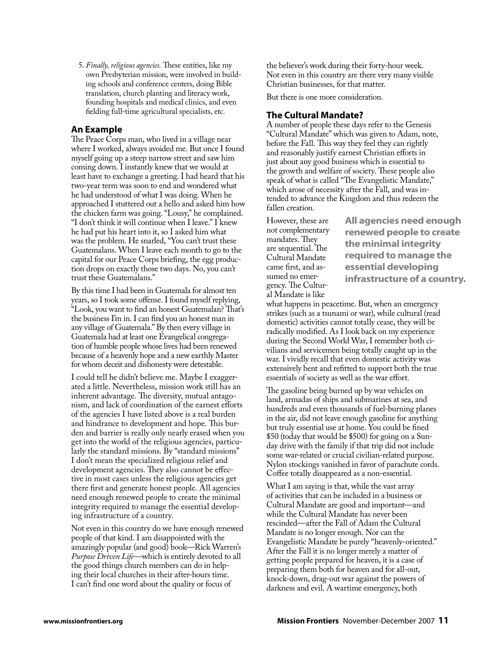5. Finally, religious agencies. These entities, like my own Presbyterian mission, were involved in building schools and conference centers, doing Bible translation, church planting and literacy work, founding hospitals and medical clinics, and even fielding full-time agricultural specialists, etc.

# **An Example**

The Peace Corps man, who lived in a village near where I worked, always avoided me. But once I found myself going up a steep narrow street and saw him coming down. I instantly knew that we would at least have to exchange a greeting. I had heard that his two-year term was soon to end and wondered what he had understood of what I was doing. When he approached I stuttered out a hello and asked him how the chicken farm was going. "Lousy," he complained. "I don't think it will continue when I leave." I knew he had put his heart into it, so I asked him what was the problem. He snarled, "You can't trust these Guatemalans. When I leave each month to go to the capital for our Peace Corps briefing, the egg production drops on exactly those two days. No, you can't trust these Guatemalans."

By this time I had been in Guatemala for almost ten years, so I took some offense. I found myself replying, "Look, you want to find an honest Guatemalan? That's the business I'm in. I can find you an honest man in any village of Guatemala." By then every village in Guatemala had at least one Evangelical congregation of humble people whose lives had been renewed because of a heavenly hope and a new earthly Master for whom deceit and dishonesty were detestable.

I could tell he didn't believe me. Maybe I exaggerated a little. Nevertheless, mission work still has an inherent advantage. The diversity, mutual antagonism, and lack of coordination of the earnest efforts of the agencies I have listed above is a real burden and hindrance to development and hope. This burden and barrier is really only nearly erased when you get into the world of the religious agencies, particularly the standard missions. By "standard missions" I don't mean the specialized religious relief and development agencies. They also cannot be effective in most cases unless the religious agencies get there first and generate honest people. All agencies need enough renewed people to create the minimal integrity required to manage the essential developing infrastructure of a country.

Not even in this country do we have enough renewed people of that kind. I am disappointed with the amazingly popular (and good) book—Rick Warren's *Purpose Driven Life*—which is entirely devoted to all the good things church members can do in helping their local churches in their after-hours time. I can't find one word about the quality or focus of

the believer's work during their forty-hour week. Not even in this country are there very many visible Christian businesses, for that matter.

But there is one more consideration.

## **The Cultural Mandate?**

A number of people these days refer to the Genesis "Cultural Mandate" which was given to Adam, note, before the Fall. This way they feel they can rightly and reasonably justify earnest Christian efforts in just about any good business which is essential to the growth and welfare of society. These people also speak of what is called "The Evangelistic Mandate," which arose of necessity after the Fall, and was intended to advance the Kingdom and thus redeem the fallen creation.

However, these are not complementary mandates. They are sequential. The Cultural Mandate came first, and assumed no emergency. The Cultural Mandate is like

**All agencies need enough renewed people to create the minimal integrity required to manage the essential developing infrastructure of a country.**

what happens in peacetime. But, when an emergency strikes (such as a tsunami or war), while cultural (read domestic) activities cannot totally cease, they will be radically modified. As I look back on my experience during the Second World War, I remember both civilians and servicemen being totally caught up in the war. I vividly recall that even domestic activity was extensively bent and refitted to support both the true essentials of society as well as the war effort.

The gasoline being burned up by war vehicles on land, armadas of ships and submarines at sea, and hundreds and even thousands of fuel-burning planes in the air, did not leave enough gasoline for anything but truly essential use at home. You could be fined \$50 (today that would be \$500) for going on a Sunday drive with the family if that trip did not include some war-related or crucial civilian-related purpose. Nylon stockings vanished in favor of parachute cords. Coffee totally disappeared as a non-essential.

What I am saying is that, while the vast array of activities that can be included in a business or Cultural Mandate are good and important—and while the Cultural Mandate has never been rescinded—after the Fall of Adam the Cultural Mandate is no longer enough. Nor can the Evangelistic Mandate be purely "heavenly-oriented." After the Fall it is no longer merely a matter of getting people prepared for heaven, it is a case of preparing them both for heaven and for all-out, knock-down, drag-out war against the powers of darkness and evil. A wartime emergency, both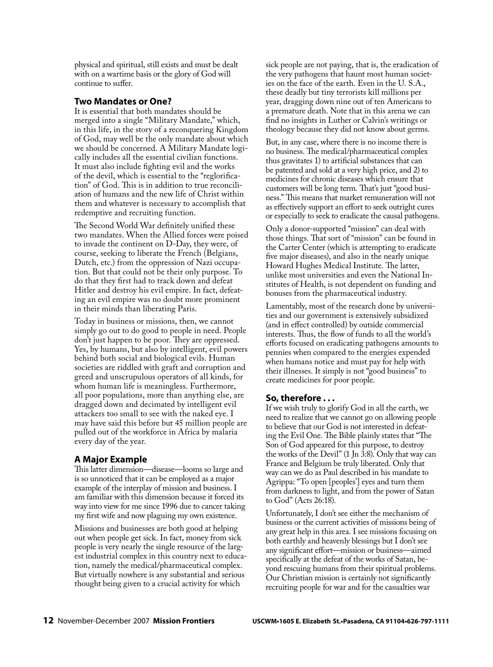physical and spiritual, still exists and must be dealt with on a wartime basis or the glory of God will continue to suffer.

#### **Two Mandates or One?**

It is essential that both mandates should be merged into a single "Military Mandate," which, in this life, in the story of a reconquering Kingdom of God, may well be the only mandate about which we should be concerned. A Military Mandate logically includes all the essential civilian functions. It must also include fighting evil and the works of the devil, which is essential to the "reglorification" of God. This is in addition to true reconciliation of humans and the new life of Christ within them and whatever is necessary to accomplish that redemptive and recruiting function.

The Second World War definitely unified these two mandates. When the Allied forces were poised to invade the continent on D-Day, they were, of course, seeking to liberate the French (Belgians, Dutch, etc.) from the oppression of Nazi occupation. But that could not be their only purpose. To do that they first had to track down and defeat Hitler and destroy his evil empire. In fact, defeating an evil empire was no doubt more prominent in their minds than liberating Paris.

Today in business or missions, then, we cannot simply go out to do good to people in need. People don't just happen to be poor. They are oppressed. Yes, by humans, but also by intelligent, evil powers behind both social and biological evils. Human societies are riddled with graft and corruption and greed and unscrupulous operators of all kinds, for whom human life is meaningless. Furthermore, all poor populations, more than anything else, are dragged down and decimated by intelligent evil attackers too small to see with the naked eye. I may have said this before but 45 million people are pulled out of the workforce in Africa by malaria every day of the year.

## **A Major Example**

This latter dimension—disease—looms so large and is so unnoticed that it can be employed as a major example of the interplay of mission and business. I am familiar with this dimension because it forced its way into view for me since 1996 due to cancer taking my first wife and now plaguing my own existence.

Missions and businesses are both good at helping out when people get sick. In fact, money from sick people is very nearly the single resource of the largest industrial complex in this country next to education, namely the medical/pharmaceutical complex. But virtually nowhere is any substantial and serious thought being given to a crucial activity for which

sick people are not paying, that is, the eradication of the very pathogens that haunt most human societies on the face of the earth. Even in the U. S.A., these deadly but tiny terrorists kill millions per year, dragging down nine out of ten Americans to a premature death. Note that in this arena we can find no insights in Luther or Calvin's writings or theology because they did not know about germs.

But, in any case, where there is no income there is no business. The medical/pharmaceutical complex thus gravitates 1) to artificial substances that can be patented and sold at a very high price, and 2) to medicines for chronic diseases which ensure that customers will be long term. That's just "good business." This means that market remuneration will not as effectively support an effort to seek outright cures or especially to seek to eradicate the causal pathogens.

Only a donor-supported "mission" can deal with those things. That sort of "mission" can be found in the Carter Center (which is attempting to eradicate five major diseases), and also in the nearly unique Howard Hughes Medical Institute. The latter, unlike most universities and even the National Institutes of Health, is not dependent on funding and bonuses from the pharmaceutical industry.

Lamentably, most of the research done by universities and our government is extensively subsidized (and in effect controlled) by outside commercial interests. Thus, the flow of funds to all the world's efforts focused on eradicating pathogens amounts to pennies when compared to the energies expended when humans notice and must pay for help with their illnesses. It simply is not "good business" to create medicines for poor people.

#### **So, therefore . . .**

If we wish truly to glorify God in all the earth, we need to realize that we cannot go on allowing people to believe that our God is not interested in defeating the Evil One. The Bible plainly states that "The Son of God appeared for this purpose, to destroy the works of the Devil" (1 Jn 3:8). Only that way can France and Belgium be truly liberated. Only that way can we do as Paul described in his mandate to Agrippa: "To open [peoples'] eyes and turn them from darkness to light, and from the power of Satan to God" (Acts 26:18).

Unfortunately, I don't see either the mechanism of business or the current activities of missions being of any great help in this area. I see missions focusing on both earthly and heavenly blessings but I don't see any significant effort—mission or business—aimed specifically at the defeat of the works of Satan, beyond rescuing humans from their spiritual problems. Our Christian mission is certainly not significantly recruiting people for war and for the casualties war